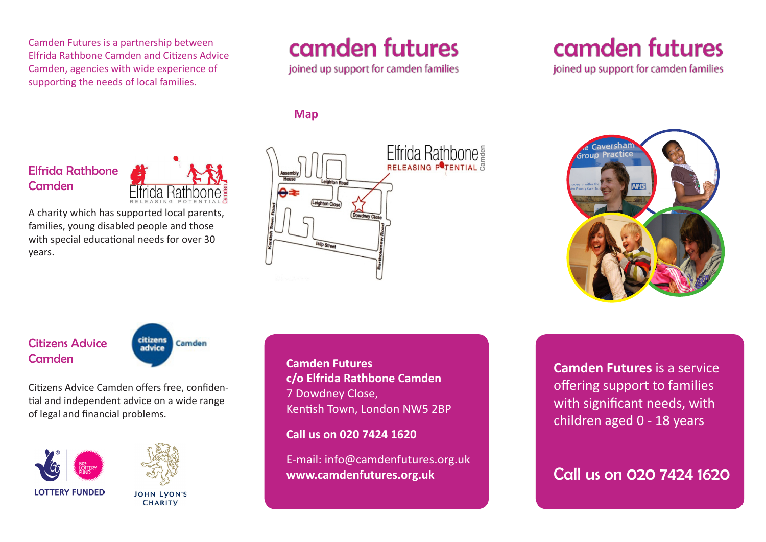Camden Futures is a partnership between Elfrida Rathbone Camden and Citizens Advice Camden, agencies with wide experience of supporting the needs of local families.

# camden futures

joined up support for camden families

#### **Map**

### Elfrida Rathbone **Camden**



A charity which has supported local parents, families, young disabled people and those with special educational needs for over 30 years.



camden futures

joined up support for camden families



Citizens Advice **Camden** 



Citizens Advice Camden offers free, confidential and independent advice on a wide range of legal and financial problems.





**JOHN LVON'S CHARITY** 

**Camden Futures c/o Elfrida Rathbone Camden** 7 Dowdney Close, Kentish Town, London NW5 2BP

**Call us on 020 7424 1620**

E-mail: info@camdenfutures.org.uk **www.camdenfutures.org.uk Call us on 020 7424 1620** 

**Camden Futures** is a service offering support to families with significant needs, with children aged 0 - 18 years